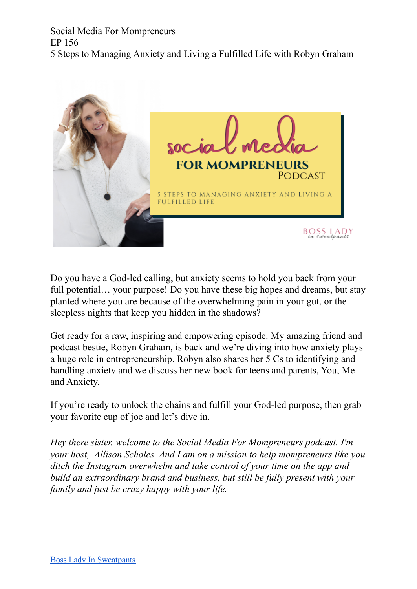

Do you have a God-led calling, but anxiety seems to hold you back from your full potential... your purpose! Do you have these big hopes and dreams, but stay planted where you are because of the overwhelming pain in your gut, or the sleepless nights that keep you hidden in the shadows?

Get ready for a raw, inspiring and empowering episode. My amazing friend and podcast bestie, Robyn Graham, is back and we're diving into how anxiety plays a huge role in entrepreneurship. Robyn also shares her 5 Cs to identifying and handling anxiety and we discuss her new book for teens and parents, You, Me and Anxiety.

If you're ready to unlock the chains and fulfill your God-led purpose, then grab your favorite cup of joe and let's dive in.

*Hey there sister, welcome to the Social Media For Mompreneurs podcast. I'm your host, Allison Scholes. And I am on a mission to help mompreneurs like you ditch the Instagram overwhelm and take control of your time on the app and build an extraordinary brand and business, but still be fully present with your family and just be crazy happy with your life.*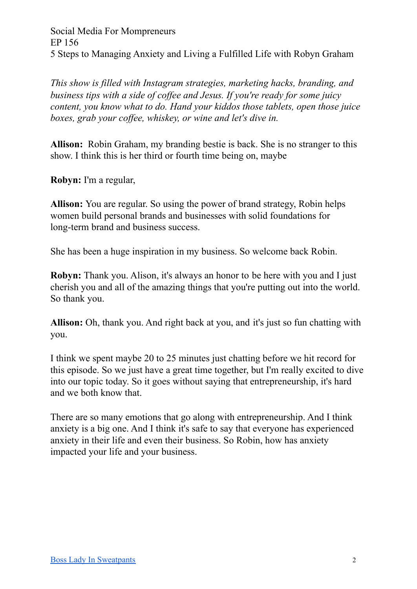*This show is filled with Instagram strategies, marketing hacks, branding, and business tips with a side of cof ee and Jesus. If you're ready for some juicy content, you know what to do. Hand your kiddos those tablets, open those juice boxes, grab your cof ee, whiskey, or wine and let's dive in.*

**Allison:** Robin Graham, my branding bestie is back. She is no stranger to this show. I think this is her third or fourth time being on, maybe

**Robyn:** I'm a regular,

**Allison:** You are regular. So using the power of brand strategy, Robin helps women build personal brands and businesses with solid foundations for long-term brand and business success.

She has been a huge inspiration in my business. So welcome back Robin.

**Robyn:** Thank you. Alison, it's always an honor to be here with you and I just cherish you and all of the amazing things that you're putting out into the world. So thank you.

**Allison:** Oh, thank you. And right back at you, and it's just so fun chatting with you.

I think we spent maybe 20 to 25 minutes just chatting before we hit record for this episode. So we just have a great time together, but I'm really excited to dive into our topic today. So it goes without saying that entrepreneurship, it's hard and we both know that.

There are so many emotions that go along with entrepreneurship. And I think anxiety is a big one. And I think it's safe to say that everyone has experienced anxiety in their life and even their business. So Robin, how has anxiety impacted your life and your business.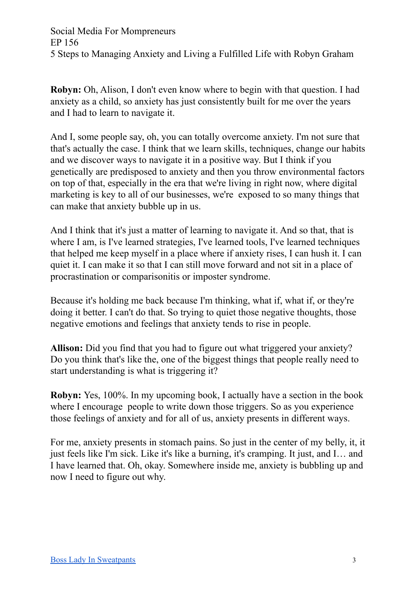**Robyn:** Oh, Alison, I don't even know where to begin with that question. I had anxiety as a child, so anxiety has just consistently built for me over the years and I had to learn to navigate it.

And I, some people say, oh, you can totally overcome anxiety. I'm not sure that that's actually the case. I think that we learn skills, techniques, change our habits and we discover ways to navigate it in a positive way. But I think if you genetically are predisposed to anxiety and then you throw environmental factors on top of that, especially in the era that we're living in right now, where digital marketing is key to all of our businesses, we're exposed to so many things that can make that anxiety bubble up in us.

And I think that it's just a matter of learning to navigate it. And so that, that is where I am, is I've learned strategies. I've learned tools, I've learned techniques that helped me keep myself in a place where if anxiety rises, I can hush it. I can quiet it. I can make it so that I can still move forward and not sit in a place of procrastination or comparisonitis or imposter syndrome.

Because it's holding me back because I'm thinking, what if, what if, or they're doing it better. I can't do that. So trying to quiet those negative thoughts, those negative emotions and feelings that anxiety tends to rise in people.

**Allison:** Did you find that you had to figure out what triggered your anxiety? Do you think that's like the, one of the biggest things that people really need to start understanding is what is triggering it?

**Robyn:** Yes, 100%. In my upcoming book, I actually have a section in the book where I encourage people to write down those triggers. So as you experience those feelings of anxiety and for all of us, anxiety presents in different ways.

For me, anxiety presents in stomach pains. So just in the center of my belly, it, it just feels like I'm sick. Like it's like a burning, it's cramping. It just, and I… and I have learned that. Oh, okay. Somewhere inside me, anxiety is bubbling up and now I need to figure out why.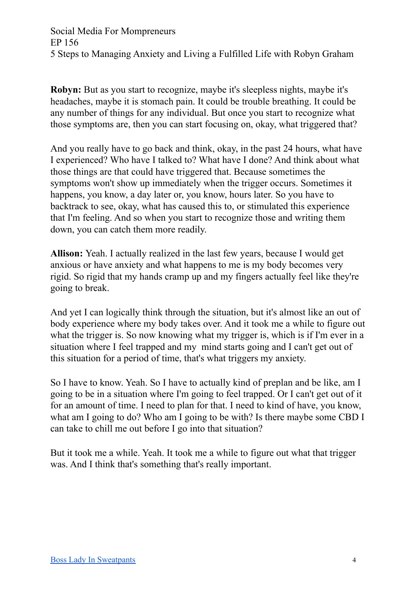**Robyn:** But as you start to recognize, maybe it's sleepless nights, maybe it's headaches, maybe it is stomach pain. It could be trouble breathing. It could be any number of things for any individual. But once you start to recognize what those symptoms are, then you can start focusing on, okay, what triggered that?

And you really have to go back and think, okay, in the past 24 hours, what have I experienced? Who have I talked to? What have I done? And think about what those things are that could have triggered that. Because sometimes the symptoms won't show up immediately when the trigger occurs. Sometimes it happens, you know, a day later or, you know, hours later. So you have to backtrack to see, okay, what has caused this to, or stimulated this experience that I'm feeling. And so when you start to recognize those and writing them down, you can catch them more readily.

**Allison:** Yeah. I actually realized in the last few years, because I would get anxious or have anxiety and what happens to me is my body becomes very rigid. So rigid that my hands cramp up and my fingers actually feel like they're going to break.

And yet I can logically think through the situation, but it's almost like an out of body experience where my body takes over. And it took me a while to figure out what the trigger is. So now knowing what my trigger is, which is if I'm ever in a situation where I feel trapped and my mind starts going and I can't get out of this situation for a period of time, that's what triggers my anxiety.

So I have to know. Yeah. So I have to actually kind of preplan and be like, am I going to be in a situation where I'm going to feel trapped. Or I can't get out of it for an amount of time. I need to plan for that. I need to kind of have, you know, what am I going to do? Who am I going to be with? Is there maybe some CBD I can take to chill me out before I go into that situation?

But it took me a while. Yeah. It took me a while to figure out what that trigger was. And I think that's something that's really important.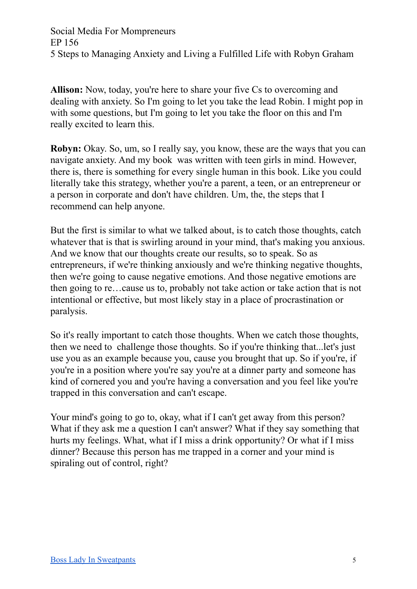**Allison:** Now, today, you're here to share your five Cs to overcoming and dealing with anxiety. So I'm going to let you take the lead Robin. I might pop in with some questions, but I'm going to let you take the floor on this and I'm really excited to learn this.

**Robyn:** Okay. So, um, so I really say, you know, these are the ways that you can navigate anxiety. And my book was written with teen girls in mind. However, there is, there is something for every single human in this book. Like you could literally take this strategy, whether you're a parent, a teen, or an entrepreneur or a person in corporate and don't have children. Um, the, the steps that I recommend can help anyone.

But the first is similar to what we talked about, is to catch those thoughts, catch whatever that is that is swirling around in your mind, that's making you anxious. And we know that our thoughts create our results, so to speak. So as entrepreneurs, if we're thinking anxiously and we're thinking negative thoughts, then we're going to cause negative emotions. And those negative emotions are then going to re…cause us to, probably not take action or take action that is not intentional or effective, but most likely stay in a place of procrastination or paralysis.

So it's really important to catch those thoughts. When we catch those thoughts, then we need to challenge those thoughts. So if you're thinking that...let's just use you as an example because you, cause you brought that up. So if you're, if you're in a position where you're say you're at a dinner party and someone has kind of cornered you and you're having a conversation and you feel like you're trapped in this conversation and can't escape.

Your mind's going to go to, okay, what if I can't get away from this person? What if they ask me a question I can't answer? What if they say something that hurts my feelings. What, what if I miss a drink opportunity? Or what if I miss dinner? Because this person has me trapped in a corner and your mind is spiraling out of control, right?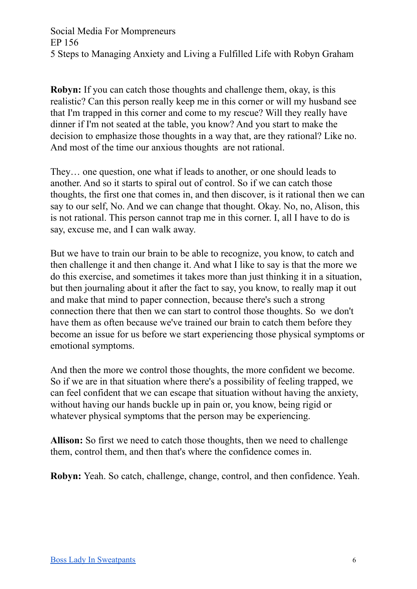**Robyn:** If you can catch those thoughts and challenge them, okay, is this realistic? Can this person really keep me in this corner or will my husband see that I'm trapped in this corner and come to my rescue? Will they really have dinner if I'm not seated at the table, you know? And you start to make the decision to emphasize those thoughts in a way that, are they rational? Like no. And most of the time our anxious thoughts are not rational.

They… one question, one what if leads to another, or one should leads to another. And so it starts to spiral out of control. So if we can catch those thoughts, the first one that comes in, and then discover, is it rational then we can say to our self, No. And we can change that thought. Okay. No, no, Alison, this is not rational. This person cannot trap me in this corner. I, all I have to do is say, excuse me, and I can walk away.

But we have to train our brain to be able to recognize, you know, to catch and then challenge it and then change it. And what I like to say is that the more we do this exercise, and sometimes it takes more than just thinking it in a situation, but then journaling about it after the fact to say, you know, to really map it out and make that mind to paper connection, because there's such a strong connection there that then we can start to control those thoughts. So we don't have them as often because we've trained our brain to catch them before they become an issue for us before we start experiencing those physical symptoms or emotional symptoms.

And then the more we control those thoughts, the more confident we become. So if we are in that situation where there's a possibility of feeling trapped, we can feel confident that we can escape that situation without having the anxiety, without having our hands buckle up in pain or, you know, being rigid or whatever physical symptoms that the person may be experiencing.

**Allison:** So first we need to catch those thoughts, then we need to challenge them, control them, and then that's where the confidence comes in.

**Robyn:** Yeah. So catch, challenge, change, control, and then confidence. Yeah.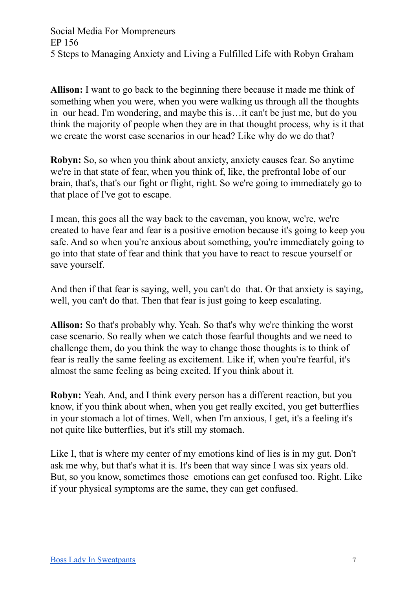**Allison:** I want to go back to the beginning there because it made me think of something when you were, when you were walking us through all the thoughts in our head. I'm wondering, and maybe this is…it can't be just me, but do you think the majority of people when they are in that thought process, why is it that we create the worst case scenarios in our head? Like why do we do that?

**Robyn:** So, so when you think about anxiety, anxiety causes fear. So anytime we're in that state of fear, when you think of, like, the prefrontal lobe of our brain, that's, that's our fight or flight, right. So we're going to immediately go to that place of I've got to escape.

I mean, this goes all the way back to the caveman, you know, we're, we're created to have fear and fear is a positive emotion because it's going to keep you safe. And so when you're anxious about something, you're immediately going to go into that state of fear and think that you have to react to rescue yourself or save yourself.

And then if that fear is saying, well, you can't do that. Or that anxiety is saying, well, you can't do that. Then that fear is just going to keep escalating.

**Allison:** So that's probably why. Yeah. So that's why we're thinking the worst case scenario. So really when we catch those fearful thoughts and we need to challenge them, do you think the way to change those thoughts is to think of fear is really the same feeling as excitement. Like if, when you're fearful, it's almost the same feeling as being excited. If you think about it.

**Robyn:** Yeah. And, and I think every person has a different reaction, but you know, if you think about when, when you get really excited, you get butterflies in your stomach a lot of times. Well, when I'm anxious, I get, it's a feeling it's not quite like butterflies, but it's still my stomach.

Like I, that is where my center of my emotions kind of lies is in my gut. Don't ask me why, but that's what it is. It's been that way since I was six years old. But, so you know, sometimes those emotions can get confused too. Right. Like if your physical symptoms are the same, they can get confused.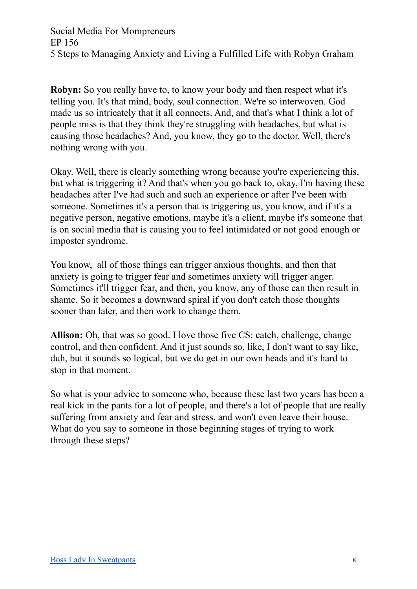**Robyn:** So you really have to, to know your body and then respect what it's telling you. It's that mind, body, soul connection. We're so interwoven. God made us so intricately that it all connects. And, and that's what I think a lot of people miss is that they think they're struggling with headaches, but what is causing those headaches? And, you know, they go to the doctor. Well, there's nothing wrong with you.

Okay. Well, there is clearly something wrong because you're experiencing this, but what is triggering it? And that's when you go back to, okay, I'm having these headaches after I've had such and such an experience or after I've been with someone. Sometimes it's a person that is triggering us, you know, and if it's a negative person, negative emotions, maybe it's a client, maybe it's someone that is on social media that is causing you to feel intimidated or not good enough or imposter syndrome.

You know, all of those things can trigger anxious thoughts, and then that anxiety is going to trigger fear and sometimes anxiety will trigger anger. Sometimes it'll trigger fear, and then, you know, any of those can then result in shame. So it becomes a downward spiral if you don't catch those thoughts sooner than later, and then work to change them.

**Allison:** Oh, that was so good. I love those five CS: catch, challenge, change control, and then confident. And it just sounds so, like, I don't want to say like, duh, but it sounds so logical, but we do get in our own heads and it's hard to stop in that moment.

So what is your advice to someone who, because these last two years has been a real kick in the pants for a lot of people, and there's a lot of people that are really suffering from anxiety and fear and stress, and won't even leave their house. What do you say to someone in those beginning stages of trying to work through these steps?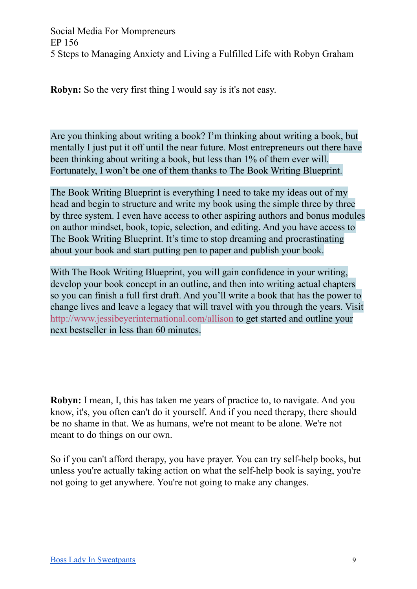**Robyn:** So the very first thing I would say is it's not easy.

Are you thinking about writing a book? I'm thinking about writing a book, but mentally I just put it off until the near future. Most entrepreneurs out there have been thinking about writing a book, but less than 1% of them ever will. Fortunately, I won't be one of them thanks to The Book Writing Blueprint.

The Book Writing Blueprint is everything I need to take my ideas out of my head and begin to structure and write my book using the simple three by three by three system. I even have access to other aspiring authors and bonus modules on author mindset, book, topic, selection, and editing. And you have access to The Book Writing Blueprint. It's time to stop dreaming and procrastinating about your book and start putting pen to paper and publish your book.

With The Book Writing Blueprint, you will gain confidence in your writing, develop your book concept in an outline, and then into writing actual chapters so you can finish a full first draft. And you'll write a book that has the power to change lives and leave a legacy that will travel with you through the years. Visit <http://www.jessibeyerinternational.com/allison> to get started and outline your next bestseller in less than 60 minutes.

**Robyn:** I mean, I, this has taken me years of practice to, to navigate. And you know, it's, you often can't do it yourself. And if you need therapy, there should be no shame in that. We as humans, we're not meant to be alone. We're not meant to do things on our own.

So if you can't afford therapy, you have prayer. You can try self-help books, but unless you're actually taking action on what the self-help book is saying, you're not going to get anywhere. You're not going to make any changes.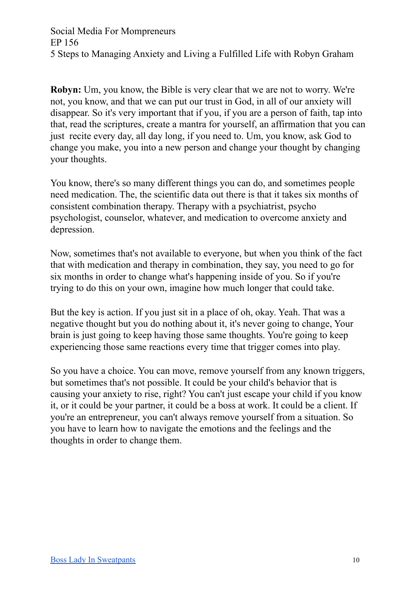**Robyn:** Um, you know, the Bible is very clear that we are not to worry. We're not, you know, and that we can put our trust in God, in all of our anxiety will disappear. So it's very important that if you, if you are a person of faith, tap into that, read the scriptures, create a mantra for yourself, an affirmation that you can just recite every day, all day long, if you need to. Um, you know, ask God to change you make, you into a new person and change your thought by changing your thoughts.

You know, there's so many different things you can do, and sometimes people need medication. The, the scientific data out there is that it takes six months of consistent combination therapy. Therapy with a psychiatrist, psycho psychologist, counselor, whatever, and medication to overcome anxiety and depression.

Now, sometimes that's not available to everyone, but when you think of the fact that with medication and therapy in combination, they say, you need to go for six months in order to change what's happening inside of you. So if you're trying to do this on your own, imagine how much longer that could take.

But the key is action. If you just sit in a place of oh, okay. Yeah. That was a negative thought but you do nothing about it, it's never going to change, Your brain is just going to keep having those same thoughts. You're going to keep experiencing those same reactions every time that trigger comes into play.

So you have a choice. You can move, remove yourself from any known triggers, but sometimes that's not possible. It could be your child's behavior that is causing your anxiety to rise, right? You can't just escape your child if you know it, or it could be your partner, it could be a boss at work. It could be a client. If you're an entrepreneur, you can't always remove yourself from a situation. So you have to learn how to navigate the emotions and the feelings and the thoughts in order to change them.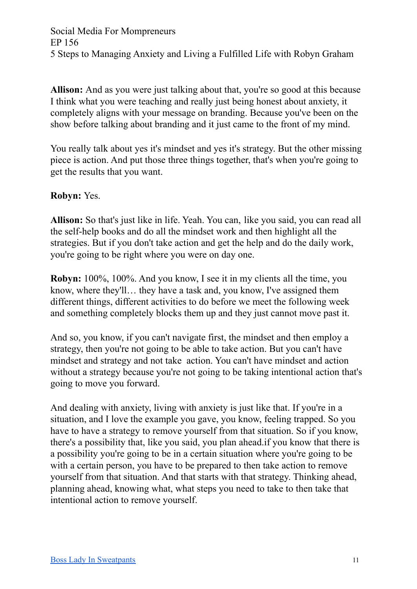**Allison:** And as you were just talking about that, you're so good at this because I think what you were teaching and really just being honest about anxiety, it completely aligns with your message on branding. Because you've been on the show before talking about branding and it just came to the front of my mind.

You really talk about yes it's mindset and yes it's strategy. But the other missing piece is action. And put those three things together, that's when you're going to get the results that you want.

## **Robyn:** Yes.

**Allison:** So that's just like in life. Yeah. You can, like you said, you can read all the self-help books and do all the mindset work and then highlight all the strategies. But if you don't take action and get the help and do the daily work, you're going to be right where you were on day one.

**Robyn:** 100%, 100%. And you know, I see it in my clients all the time, you know, where they'll… they have a task and, you know, I've assigned them different things, different activities to do before we meet the following week and something completely blocks them up and they just cannot move past it.

And so, you know, if you can't navigate first, the mindset and then employ a strategy, then you're not going to be able to take action. But you can't have mindset and strategy and not take action. You can't have mindset and action without a strategy because you're not going to be taking intentional action that's going to move you forward.

And dealing with anxiety, living with anxiety is just like that. If you're in a situation, and I love the example you gave, you know, feeling trapped. So you have to have a strategy to remove yourself from that situation. So if you know, there's a possibility that, like you said, you plan ahead.if you know that there is a possibility you're going to be in a certain situation where you're going to be with a certain person, you have to be prepared to then take action to remove yourself from that situation. And that starts with that strategy. Thinking ahead, planning ahead, knowing what, what steps you need to take to then take that intentional action to remove yourself.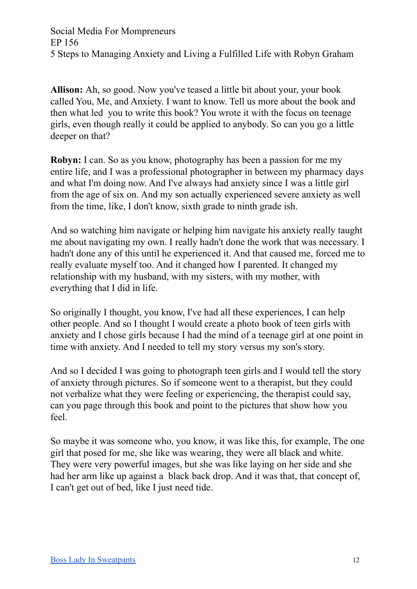**Allison:** Ah, so good. Now you've teased a little bit about your, your book called You, Me, and Anxiety. I want to know. Tell us more about the book and then what led you to write this book? You wrote it with the focus on teenage girls, even though really it could be applied to anybody. So can you go a little deeper on that?

**Robyn:** I can. So as you know, photography has been a passion for me my entire life, and I was a professional photographer in between my pharmacy days and what I'm doing now. And I've always had anxiety since I was a little girl from the age of six on. And my son actually experienced severe anxiety as well from the time, like, I don't know, sixth grade to ninth grade ish.

And so watching him navigate or helping him navigate his anxiety really taught me about navigating my own. I really hadn't done the work that was necessary. I hadn't done any of this until he experienced it. And that caused me, forced me to really evaluate myself too. And it changed how I parented. It changed my relationship with my husband, with my sisters, with my mother, with everything that I did in life.

So originally I thought, you know, I've had all these experiences, I can help other people. And so I thought I would create a photo book of teen girls with anxiety and I chose girls because I had the mind of a teenage girl at one point in time with anxiety. And I needed to tell my story versus my son's story.

And so I decided I was going to photograph teen girls and I would tell the story of anxiety through pictures. So if someone went to a therapist, but they could not verbalize what they were feeling or experiencing, the therapist could say, can you page through this book and point to the pictures that show how you feel.

So maybe it was someone who, you know, it was like this, for example, The one girl that posed for me, she like was wearing, they were all black and white. They were very powerful images, but she was like laying on her side and she had her arm like up against a black back drop. And it was that, that concept of, I can't get out of bed, like I just need tide.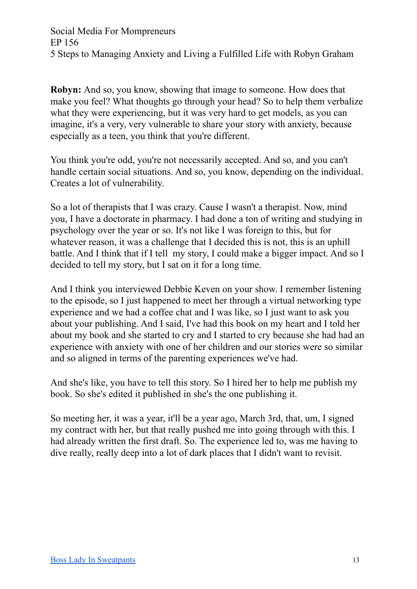**Robyn:** And so, you know, showing that image to someone. How does that make you feel? What thoughts go through your head? So to help them verbalize what they were experiencing, but it was very hard to get models, as you can imagine, it's a very, very vulnerable to share your story with anxiety, because especially as a teen, you think that you're different.

You think you're odd, you're not necessarily accepted. And so, and you can't handle certain social situations. And so, you know, depending on the individual. Creates a lot of vulnerability.

So a lot of therapists that I was crazy. Cause I wasn't a therapist. Now, mind you, I have a doctorate in pharmacy. I had done a ton of writing and studying in psychology over the year or so. It's not like I was foreign to this, but for whatever reason, it was a challenge that I decided this is not, this is an uphill battle. And I think that if I tell my story, I could make a bigger impact. And so I decided to tell my story, but I sat on it for a long time.

And I think you interviewed Debbie Keven on your show. I remember listening to the episode, so I just happened to meet her through a virtual networking type experience and we had a coffee chat and I was like, so I just want to ask you about your publishing. And I said, I've had this book on my heart and I told her about my book and she started to cry and I started to cry because she had had an experience with anxiety with one of her children and our stories were so similar and so aligned in terms of the parenting experiences we've had.

And she's like, you have to tell this story. So I hired her to help me publish my book. So she's edited it published in she's the one publishing it.

So meeting her, it was a year, it'll be a year ago, March 3rd, that, um, I signed my contract with her, but that really pushed me into going through with this. I had already written the first draft. So. The experience led to, was me having to dive really, really deep into a lot of dark places that I didn't want to revisit.